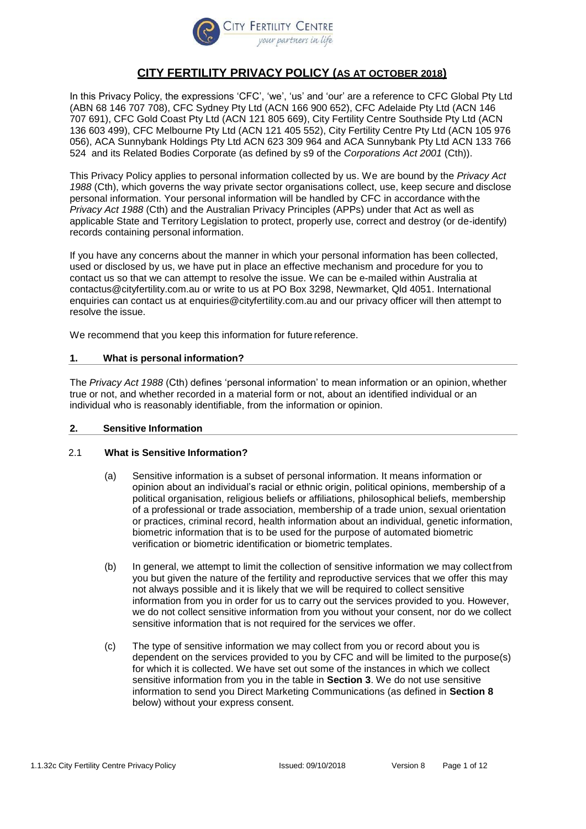

# **CITY FERTILITY PRIVACY POLICY (AS AT OCTOBER 2018)**

In this Privacy Policy, the expressions 'CFC', 'we', 'us' and 'our' are a reference to CFC Global Pty Ltd (ABN 68 146 707 708), CFC Sydney Pty Ltd (ACN 166 900 652), CFC Adelaide Pty Ltd (ACN 146 707 691), CFC Gold Coast Pty Ltd (ACN 121 805 669), City Fertility Centre Southside Pty Ltd (ACN 136 603 499), CFC Melbourne Pty Ltd (ACN 121 405 552), City Fertility Centre Pty Ltd (ACN 105 976 056), ACA Sunnybank Holdings Pty Ltd ACN 623 309 964 and ACA Sunnybank Pty Ltd ACN 133 766 524 and its Related Bodies Corporate (as defined by s9 of the *Corporations Act 2001* (Cth)).

This Privacy Policy applies to personal information collected by us. We are bound by the *Privacy Act 1988* (Cth), which governs the way private sector organisations collect, use, keep secure and disclose personal information. Your personal information will be handled by CFC in accordance withthe *Privacy Act 1988* (Cth) and the Australian Privacy Principles (APPs) under that Act as well as applicable State and Territory Legislation to protect, properly use, correct and destroy (or de-identify) records containing personal information.

If you have any concerns about the manner in which your personal information has been collected, used or disclosed by us, we have put in place an effective mechanism and procedure for you to contact us so that we can attempt to resolve the issue. We can be e-mailed within Australia at [contactus@cityfertility.com.au o](mailto:contactus@cityfertility.com.au)r write to us at PO Box 3298, Newmarket, Qld 4051. International enquiries can contact us at [enquiries@cityfertility.com.au](mailto:enquiries@cityfertility.com.au) and our privacy officer will then attempt to resolve the issue.

We recommend that you keep this information for future reference.

## **1. What is personal information?**

The *Privacy Act 1988* (Cth) defines 'personal information' to mean information or an opinion, whether true or not, and whether recorded in a material form or not, about an identified individual or an individual who is reasonably identifiable, from the information or opinion.

## **2. Sensitive Information**

## 2.1 **What is Sensitive Information?**

- (a) Sensitive information is a subset of personal information. It means information or opinion about an individual's racial or ethnic origin, political opinions, membership of a political organisation, religious beliefs or affiliations, philosophical beliefs, membership of a professional or trade association, membership of a trade union, sexual orientation or practices, criminal record, health information about an individual, genetic information, biometric information that is to be used for the purpose of automated biometric verification or biometric identification or biometric templates.
- (b) In general, we attempt to limit the collection of sensitive information we may collect from you but given the nature of the fertility and reproductive services that we offer this may not always possible and it is likely that we will be required to collect sensitive information from you in order for us to carry out the services provided to you. However, we do not collect sensitive information from you without your consent, nor do we collect sensitive information that is not required for the services we offer.
- (c) The type of sensitive information we may collect from you or record about you is dependent on the services provided to you by CFC and will be limited to the purpose(s) for which it is collected. We have set out some of the instances in which we collect sensitive information from you in the table in **Section [3](#page-1-0)**. We do not use sensitive information to send you Direct Marketing Communications (as defined in **Section [8](#page-8-0)** below) without your express consent.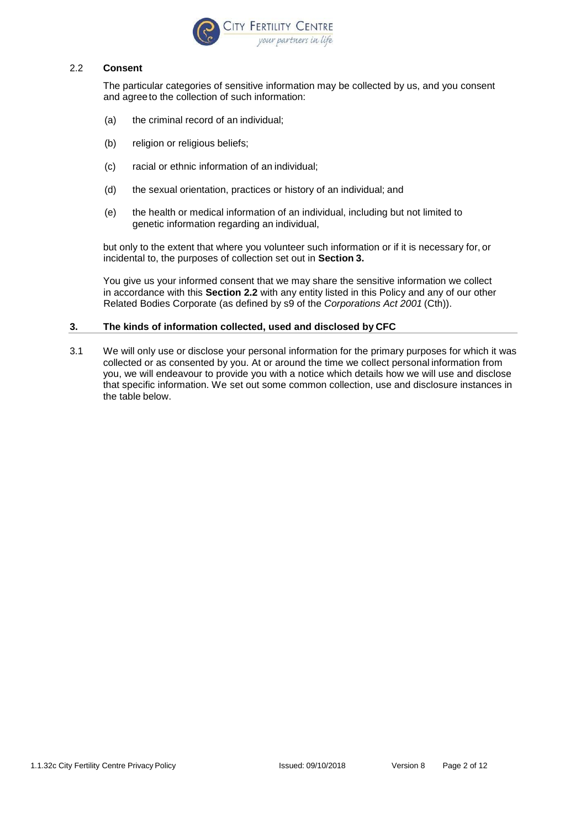

#### 2.2 **Consent**

The particular categories of sensitive information may be collected by us, and you consent and agreeto the collection of such information:

- (a) the criminal record of an individual;
- (b) religion or religious beliefs;
- (c) racial or ethnic information of an individual;
- (d) the sexual orientation, practices or history of an individual; and
- (e) the health or medical information of an individual, including but not limited to genetic information regarding an individual,

but only to the extent that where you volunteer such information or if it is necessary for, or incidental to, the purposes of collection set out in **Section 3.**

You give us your informed consent that we may share the sensitive information we collect in accordance with this **Section 2.2** with any entity listed in this Policy and any of our other Related Bodies Corporate (as defined by s9 of the *Corporations Act 2001* (Cth)).

### <span id="page-1-0"></span>**3. The kinds of information collected, used and disclosed by CFC**

3.1 We will only use or disclose your personal information for the primary purposes for which it was collected or as consented by you. At or around the time we collect personal information from you, we will endeavour to provide you with a notice which details how we will use and disclose that specific information. We set out some common collection, use and disclosure instances in the table below.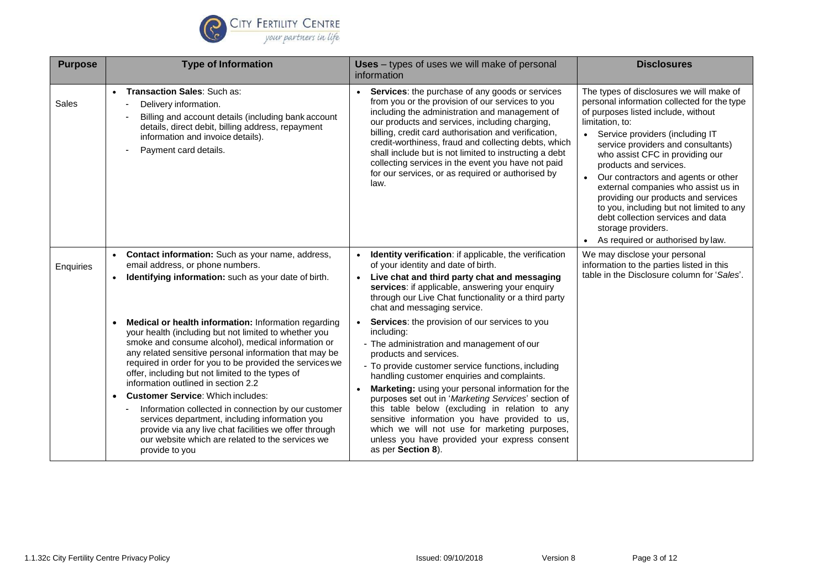

| <b>Purpose</b> | <b>Type of Information</b>                                                                                                                                                                                                                                                                                                                                                                                                                                                                                                                                                                                                                                                            | <b>Uses</b> – types of uses we will make of personal<br>information                                                                                                                                                                                                                                                                                                                                                                                                                                                                                                                  | <b>Disclosures</b>                                                                                                                                                                                                                                                                                                                                                                                                                                                                                                                                           |
|----------------|---------------------------------------------------------------------------------------------------------------------------------------------------------------------------------------------------------------------------------------------------------------------------------------------------------------------------------------------------------------------------------------------------------------------------------------------------------------------------------------------------------------------------------------------------------------------------------------------------------------------------------------------------------------------------------------|--------------------------------------------------------------------------------------------------------------------------------------------------------------------------------------------------------------------------------------------------------------------------------------------------------------------------------------------------------------------------------------------------------------------------------------------------------------------------------------------------------------------------------------------------------------------------------------|--------------------------------------------------------------------------------------------------------------------------------------------------------------------------------------------------------------------------------------------------------------------------------------------------------------------------------------------------------------------------------------------------------------------------------------------------------------------------------------------------------------------------------------------------------------|
| Sales          | • Transaction Sales: Such as:<br>Delivery information.<br>Billing and account details (including bank account<br>details, direct debit, billing address, repayment<br>information and invoice details).<br>Payment card details.                                                                                                                                                                                                                                                                                                                                                                                                                                                      | • Services: the purchase of any goods or services<br>from you or the provision of our services to you<br>including the administration and management of<br>our products and services, including charging,<br>billing, credit card authorisation and verification,<br>credit-worthiness, fraud and collecting debts, which<br>shall include but is not limited to instructing a debt<br>collecting services in the event you have not paid<br>for our services, or as required or authorised by<br>law.                                                                               | The types of disclosures we will make of<br>personal information collected for the type<br>of purposes listed include, without<br>limitation, to:<br>• Service providers (including IT<br>service providers and consultants)<br>who assist CFC in providing our<br>products and services.<br>• Our contractors and agents or other<br>external companies who assist us in<br>providing our products and services<br>to you, including but not limited to any<br>debt collection services and data<br>storage providers.<br>As required or authorised by law. |
| Enquiries      | • Contact information: Such as your name, address,<br>email address, or phone numbers.<br>Identifying information: such as your date of birth.                                                                                                                                                                                                                                                                                                                                                                                                                                                                                                                                        | • Identity verification: if applicable, the verification<br>of your identity and date of birth.<br>Live chat and third party chat and messaging<br>services: if applicable, answering your enquiry<br>through our Live Chat functionality or a third party<br>chat and messaging service.                                                                                                                                                                                                                                                                                            | We may disclose your personal<br>information to the parties listed in this<br>table in the Disclosure column for 'Sales'.                                                                                                                                                                                                                                                                                                                                                                                                                                    |
|                | Medical or health information: Information regarding<br>your health (including but not limited to whether you<br>smoke and consume alcohol), medical information or<br>any related sensitive personal information that may be<br>required in order for you to be provided the services we<br>offer, including but not limited to the types of<br>information outlined in section 2.2<br><b>Customer Service: Which includes:</b><br>$\bullet$<br>Information collected in connection by our customer<br>services department, including information you<br>provide via any live chat facilities we offer through<br>our website which are related to the services we<br>provide to you | • Services: the provision of our services to you<br>including:<br>- The administration and management of our<br>products and services.<br>- To provide customer service functions, including<br>handling customer enquiries and complaints.<br>Marketing: using your personal information for the<br>purposes set out in 'Marketing Services' section of<br>this table below (excluding in relation to any<br>sensitive information you have provided to us,<br>which we will not use for marketing purposes,<br>unless you have provided your express consent<br>as per Section 8). |                                                                                                                                                                                                                                                                                                                                                                                                                                                                                                                                                              |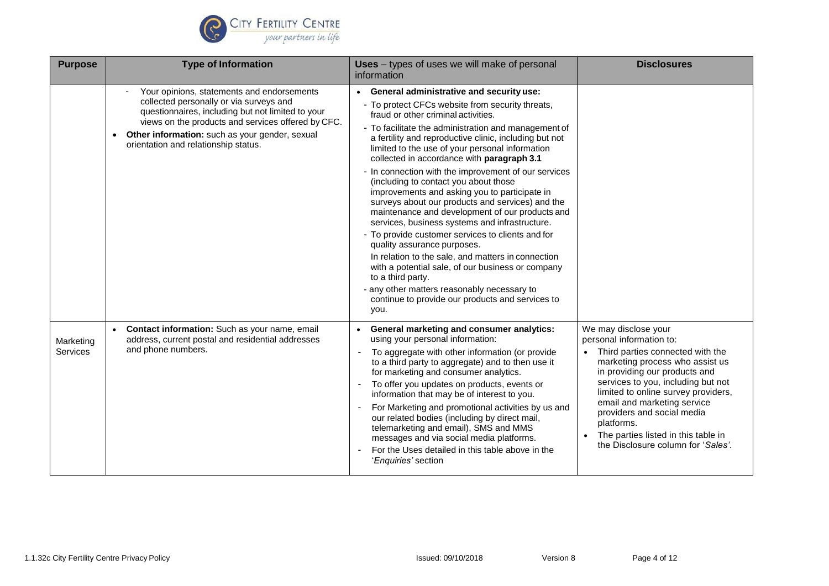

| <b>Purpose</b>               | <b>Type of Information</b>                                                                                                                                                                                                                                                                              | Uses - types of uses we will make of personal<br>information                                                                                                                                                                                                                                                                                                                                                                                                                                                                                                                                                                                                                                                                                                                                                                                                                                                                                                                                       | <b>Disclosures</b>                                                                                                                                                                                                                                                                                                                                                                              |
|------------------------------|---------------------------------------------------------------------------------------------------------------------------------------------------------------------------------------------------------------------------------------------------------------------------------------------------------|----------------------------------------------------------------------------------------------------------------------------------------------------------------------------------------------------------------------------------------------------------------------------------------------------------------------------------------------------------------------------------------------------------------------------------------------------------------------------------------------------------------------------------------------------------------------------------------------------------------------------------------------------------------------------------------------------------------------------------------------------------------------------------------------------------------------------------------------------------------------------------------------------------------------------------------------------------------------------------------------------|-------------------------------------------------------------------------------------------------------------------------------------------------------------------------------------------------------------------------------------------------------------------------------------------------------------------------------------------------------------------------------------------------|
|                              | Your opinions, statements and endorsements<br>collected personally or via surveys and<br>questionnaires, including but not limited to your<br>views on the products and services offered by CFC.<br>Other information: such as your gender, sexual<br>$\bullet$<br>orientation and relationship status. | • General administrative and security use:<br>- To protect CFCs website from security threats,<br>fraud or other criminal activities.<br>- To facilitate the administration and management of<br>a fertility and reproductive clinic, including but not<br>limited to the use of your personal information<br>collected in accordance with paragraph 3.1<br>- In connection with the improvement of our services<br>(including to contact you about those<br>improvements and asking you to participate in<br>surveys about our products and services) and the<br>maintenance and development of our products and<br>services, business systems and infrastructure.<br>- To provide customer services to clients and for<br>quality assurance purposes.<br>In relation to the sale, and matters in connection<br>with a potential sale, of our business or company<br>to a third party.<br>- any other matters reasonably necessary to<br>continue to provide our products and services to<br>you. |                                                                                                                                                                                                                                                                                                                                                                                                 |
| Marketing<br><b>Services</b> | Contact information: Such as your name, email<br>address, current postal and residential addresses<br>and phone numbers.                                                                                                                                                                                | • General marketing and consumer analytics:<br>using your personal information:<br>To aggregate with other information (or provide<br>to a third party to aggregate) and to then use it<br>for marketing and consumer analytics.<br>To offer you updates on products, events or<br>information that may be of interest to you.<br>For Marketing and promotional activities by us and<br>our related bodies (including by direct mail,<br>telemarketing and email), SMS and MMS<br>messages and via social media platforms.<br>For the Uses detailed in this table above in the<br>'Enquiries' section                                                                                                                                                                                                                                                                                                                                                                                              | We may disclose your<br>personal information to:<br>• Third parties connected with the<br>marketing process who assist us<br>in providing our products and<br>services to you, including but not<br>limited to online survey providers,<br>email and marketing service<br>providers and social media<br>platforms.<br>The parties listed in this table in<br>the Disclosure column for 'Sales'. |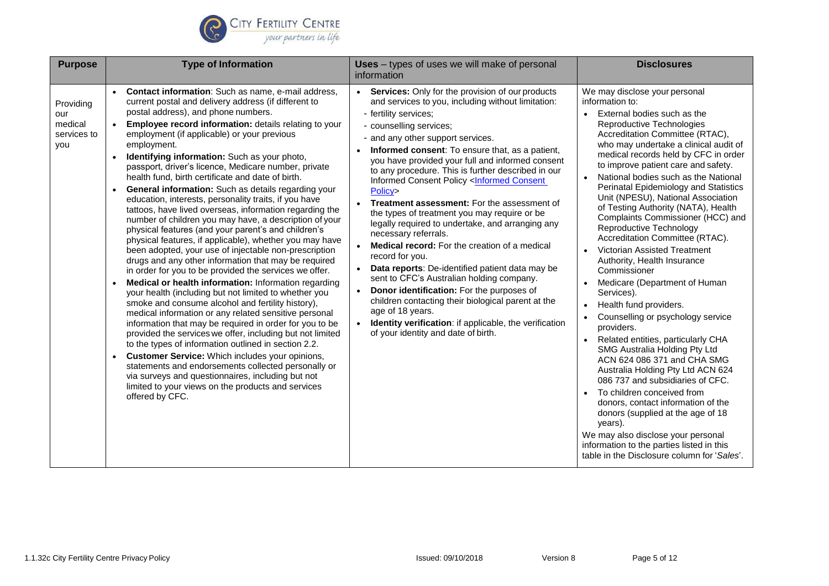

| <b>Purpose</b>                                    | <b>Type of Information</b>                                                                                                                                                                                                                                                                                                                                                                                                                                                                                                                                                                                                                                                                                                                                                                                                                                                                                                                                                                                                                                                                                                                                                                                                                                                                                                                                                                                                                                                                                                                                                                                                                  | Uses - types of uses we will make of personal<br>information                                                                                                                                                                                                                                                                                                                                                                                                                                                                                                                                                                                                                                                                                                                                                                                                                                                                                                                                                                                                                                                                                                                                                                   | <b>Disclosures</b>                                                                                                                                                                                                                                                                                                                                                                                                                                                                                                                                                                                                                                                                                                                                                                                                                                                                                                                                                                                                                                                                                                                                                                       |
|---------------------------------------------------|---------------------------------------------------------------------------------------------------------------------------------------------------------------------------------------------------------------------------------------------------------------------------------------------------------------------------------------------------------------------------------------------------------------------------------------------------------------------------------------------------------------------------------------------------------------------------------------------------------------------------------------------------------------------------------------------------------------------------------------------------------------------------------------------------------------------------------------------------------------------------------------------------------------------------------------------------------------------------------------------------------------------------------------------------------------------------------------------------------------------------------------------------------------------------------------------------------------------------------------------------------------------------------------------------------------------------------------------------------------------------------------------------------------------------------------------------------------------------------------------------------------------------------------------------------------------------------------------------------------------------------------------|--------------------------------------------------------------------------------------------------------------------------------------------------------------------------------------------------------------------------------------------------------------------------------------------------------------------------------------------------------------------------------------------------------------------------------------------------------------------------------------------------------------------------------------------------------------------------------------------------------------------------------------------------------------------------------------------------------------------------------------------------------------------------------------------------------------------------------------------------------------------------------------------------------------------------------------------------------------------------------------------------------------------------------------------------------------------------------------------------------------------------------------------------------------------------------------------------------------------------------|------------------------------------------------------------------------------------------------------------------------------------------------------------------------------------------------------------------------------------------------------------------------------------------------------------------------------------------------------------------------------------------------------------------------------------------------------------------------------------------------------------------------------------------------------------------------------------------------------------------------------------------------------------------------------------------------------------------------------------------------------------------------------------------------------------------------------------------------------------------------------------------------------------------------------------------------------------------------------------------------------------------------------------------------------------------------------------------------------------------------------------------------------------------------------------------|
| Providing<br>our<br>medical<br>services to<br>you | Contact information: Such as name, e-mail address,<br>current postal and delivery address (if different to<br>postal address), and phone numbers.<br>Employee record information: details relating to your<br>employment (if applicable) or your previous<br>employment.<br>Identifying information: Such as your photo,<br>passport, driver's licence, Medicare number, private<br>health fund, birth certificate and date of birth.<br>General information: Such as details regarding your<br>education, interests, personality traits, if you have<br>tattoos, have lived overseas, information regarding the<br>number of children you may have, a description of your<br>physical features (and your parent's and children's<br>physical features, if applicable), whether you may have<br>been adopted, your use of injectable non-prescription<br>drugs and any other information that may be required<br>in order for you to be provided the services we offer.<br>Medical or health information: Information regarding<br>your health (including but not limited to whether you<br>smoke and consume alcohol and fertility history),<br>medical information or any related sensitive personal<br>information that may be required in order for you to be<br>provided the services we offer, including but not limited<br>to the types of information outlined in section 2.2.<br>Customer Service: Which includes your opinions,<br>$\bullet$<br>statements and endorsements collected personally or<br>via surveys and questionnaires, including but not<br>limited to your views on the products and services<br>offered by CFC. | Services: Only for the provision of our products<br>and services to you, including without limitation:<br>- fertility services;<br>- counselling services;<br>- and any other support services.<br>Informed consent: To ensure that, as a patient,<br>you have provided your full and informed consent<br>to any procedure. This is further described in our<br><b>Informed Consent Policy <informed b="" consent<=""><br/>Policy&gt;<br/><b>Treatment assessment:</b> For the assessment of<br/>the types of treatment you may require or be<br/>legally required to undertake, and arranging any<br/>necessary referrals.<br/><b>Medical record:</b> For the creation of a medical<br/><math display="inline">\bullet</math><br/>record for you.<br/>Data reports: De-identified patient data may be<br/><math display="inline">\bullet</math><br/>sent to CFC's Australian holding company.<br/>Donor identification: For the purposes of<br/><math display="inline">\bullet</math><br/>children contacting their biological parent at the<br/>age of 18 years.<br/>Identity verification: if applicable, the verification<br/><math display="inline">\bullet</math><br/>of your identity and date of birth.</informed></b> | We may disclose your personal<br>information to:<br>External bodies such as the<br>Reproductive Technologies<br>Accreditation Committee (RTAC),<br>who may undertake a clinical audit of<br>medical records held by CFC in order<br>to improve patient care and safety.<br>National bodies such as the National<br>Perinatal Epidemiology and Statistics<br>Unit (NPESU), National Association<br>of Testing Authority (NATA), Health<br>Complaints Commissioner (HCC) and<br>Reproductive Technology<br>Accreditation Committee (RTAC).<br>Victorian Assisted Treatment<br>Authority, Health Insurance<br>Commissioner<br>Medicare (Department of Human<br>Services).<br>Health fund providers.<br>Counselling or psychology service<br>providers.<br>Related entities, particularly CHA<br>SMG Australia Holding Pty Ltd<br>ACN 624 086 371 and CHA SMG<br>Australia Holding Pty Ltd ACN 624<br>086 737 and subsidiaries of CFC.<br>To children conceived from<br>donors, contact information of the<br>donors (supplied at the age of 18<br>years).<br>We may also disclose your personal<br>information to the parties listed in this<br>table in the Disclosure column for 'Sales'. |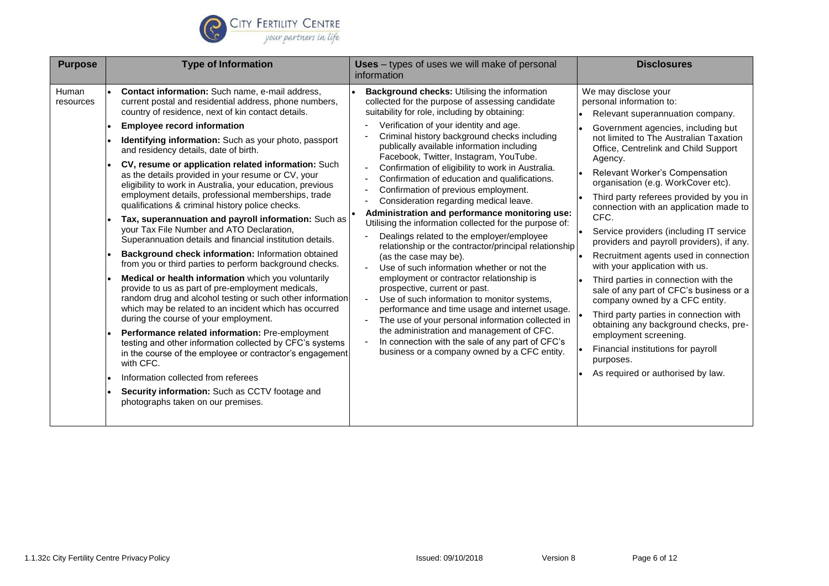

| <b>Purpose</b>     | <b>Type of Information</b>                                                                                                                                                                                                                                                                                                                                                                                                                                                                                                                                                                                                                                                                                                                                                                                                                                                                                                                                                                                                                                                                                                                                                                                                                                                                                                                                                                                                                                                          | <b>Uses</b> – types of uses we will make of personal<br>information                                                                                                                                                                                                                                                                                                                                                                                                                                                                                                                                                                                                                                                                                                                                                                                                                                                                                                                                                                                                                                                                                                                                       | <b>Disclosures</b>                                                                                                                                                                                                                                                                                                                                                                                                                                                                                                                                                                                                                                                                                                                                                                                                                                                                                                              |
|--------------------|-------------------------------------------------------------------------------------------------------------------------------------------------------------------------------------------------------------------------------------------------------------------------------------------------------------------------------------------------------------------------------------------------------------------------------------------------------------------------------------------------------------------------------------------------------------------------------------------------------------------------------------------------------------------------------------------------------------------------------------------------------------------------------------------------------------------------------------------------------------------------------------------------------------------------------------------------------------------------------------------------------------------------------------------------------------------------------------------------------------------------------------------------------------------------------------------------------------------------------------------------------------------------------------------------------------------------------------------------------------------------------------------------------------------------------------------------------------------------------------|-----------------------------------------------------------------------------------------------------------------------------------------------------------------------------------------------------------------------------------------------------------------------------------------------------------------------------------------------------------------------------------------------------------------------------------------------------------------------------------------------------------------------------------------------------------------------------------------------------------------------------------------------------------------------------------------------------------------------------------------------------------------------------------------------------------------------------------------------------------------------------------------------------------------------------------------------------------------------------------------------------------------------------------------------------------------------------------------------------------------------------------------------------------------------------------------------------------|---------------------------------------------------------------------------------------------------------------------------------------------------------------------------------------------------------------------------------------------------------------------------------------------------------------------------------------------------------------------------------------------------------------------------------------------------------------------------------------------------------------------------------------------------------------------------------------------------------------------------------------------------------------------------------------------------------------------------------------------------------------------------------------------------------------------------------------------------------------------------------------------------------------------------------|
| Human<br>resources | Contact information: Such name, e-mail address,<br>current postal and residential address, phone numbers,<br>country of residence, next of kin contact details.<br><b>Employee record information</b><br>Identifying information: Such as your photo, passport<br>and residency details, date of birth.<br>CV, resume or application related information: Such<br>as the details provided in your resume or CV, your<br>eligibility to work in Australia, your education, previous<br>employment details, professional memberships, trade<br>qualifications & criminal history police checks.<br>Tax, superannuation and payroll information: Such as<br>your Tax File Number and ATO Declaration,<br>Superannuation details and financial institution details.<br>Background check information: Information obtained<br>from you or third parties to perform background checks.<br>Medical or health information which you voluntarily<br>provide to us as part of pre-employment medicals,<br>random drug and alcohol testing or such other information<br>which may be related to an incident which has occurred<br>during the course of your employment.<br>Performance related information: Pre-employment<br>testing and other information collected by CFC's systems<br>in the course of the employee or contractor's engagement<br>with CFC.<br>Information collected from referees<br>Security information: Such as CCTV footage and<br>photographs taken on our premises. | Background checks: Utilising the information<br>collected for the purpose of assessing candidate<br>suitability for role, including by obtaining:<br>Verification of your identity and age.<br>Criminal history background checks including<br>publically available information including<br>Facebook, Twitter, Instagram, YouTube.<br>Confirmation of eligibility to work in Australia.<br>Confirmation of education and qualifications.<br>Confirmation of previous employment.<br>Consideration regarding medical leave.<br>Administration and performance monitoring use:<br>Utilising the information collected for the purpose of:<br>Dealings related to the employer/employee<br>relationship or the contractor/principal relationship<br>(as the case may be).<br>Use of such information whether or not the<br>employment or contractor relationship is<br>prospective, current or past.<br>Use of such information to monitor systems,<br>performance and time usage and internet usage.<br>The use of your personal information collected in<br>the administration and management of CFC.<br>In connection with the sale of any part of CFC's<br>business or a company owned by a CFC entity. | We may disclose your<br>personal information to:<br>Relevant superannuation company.<br>Government agencies, including but<br>$\bullet$<br>not limited to The Australian Taxation<br>Office, Centrelink and Child Support<br>Agency.<br>Relevant Worker's Compensation<br>organisation (e.g. WorkCover etc).<br>Third party referees provided by you in<br>connection with an application made to<br>CFC.<br>Service providers (including IT service<br>providers and payroll providers), if any.<br>Recruitment agents used in connection<br>$\bullet$<br>with your application with us.<br>Third parties in connection with the<br>sale of any part of CFC's business or a<br>company owned by a CFC entity.<br>Third party parties in connection with<br>obtaining any background checks, pre-<br>employment screening.<br>Financial institutions for payroll<br>purposes.<br>As required or authorised by law.<br>$\bullet$ |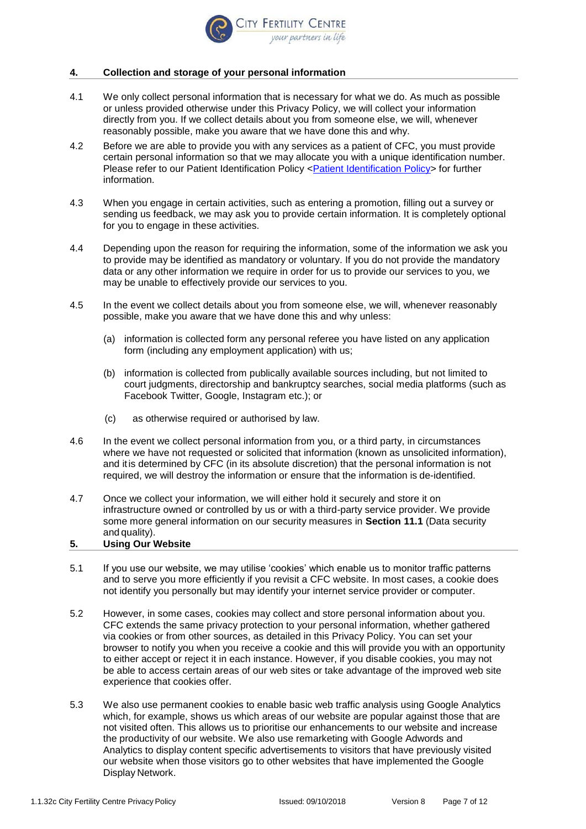

## **4. Collection and storage of your personal information**

- 4.1 We only collect personal information that is necessary for what we do. As much as possible or unless provided otherwise under this Privacy Policy, we will collect your information directly from you. If we collect details about you from someone else, we will, whenever reasonably possible, make you aware that we have done this and why.
- 4.2 Before we are able to provide you with any services as a patient of CFC, you must provide certain personal information so that we may allocate you with a unique identification number. Please refer to our Patient Identification Policy [<Patient Identification Policy>](file:///C:/Users/dunstone9214/AppData/Local/Microsoft/Windows/Temporary%20Internet%20Files/pdf/1.1.11%20Patient%20Identification%20Policy.pdf) for further information.
- 4.3 When you engage in certain activities, such as entering a promotion, filling out a survey or sending us feedback, we may ask you to provide certain information. It is completely optional for you to engage in these activities.
- 4.4 Depending upon the reason for requiring the information, some of the information we ask you to provide may be identified as mandatory or voluntary. If you do not provide the mandatory data or any other information we require in order for us to provide our services to you, we may be unable to effectively provide our services to you.
- 4.5 In the event we collect details about you from someone else, we will, whenever reasonably possible, make you aware that we have done this and why unless:
	- (a) information is collected form any personal referee you have listed on any application form (including any employment application) with us;
	- (b) information is collected from publically available sources including, but not limited to court judgments, directorship and bankruptcy searches, social media platforms (such as Facebook Twitter, Google, Instagram etc.); or
	- (c) as otherwise required or authorised by law.
- 4.6 In the event we collect personal information from you, or a third party, in circumstances where we have not requested or solicited that information (known as unsolicited information), and itis determined by CFC (in its absolute discretion) that the personal information is not required, we will destroy the information or ensure that the information is de-identified.
- 4.7 Once we collect your information, we will either hold it securely and store it on infrastructure owned or controlled by us or with a third-party service provider. We provide some more general information on our security measures in **Section [11.1](#page-9-0)** (Data security and quality).

## **5. Using Our Website**

- 5.1 If you use our website, we may utilise 'cookies' which enable us to monitor traffic patterns and to serve you more efficiently if you revisit a CFC website. In most cases, a cookie does not identify you personally but may identify your internet service provider or computer.
- 5.2 However, in some cases, cookies may collect and store personal information about you. CFC extends the same privacy protection to your personal information, whether gathered via cookies or from other sources, as detailed in this Privacy Policy. You can set your browser to notify you when you receive a cookie and this will provide you with an opportunity to either accept or reject it in each instance. However, if you disable cookies, you may not be able to access certain areas of our web sites or take advantage of the improved web site experience that cookies offer.
- 5.3 We also use permanent cookies to enable basic web traffic analysis using Google Analytics which, for example, shows us which areas of our website are popular against those that are not visited often. This allows us to prioritise our enhancements to our website and increase the productivity of our website. We also use remarketing with Google Adwords and Analytics to display content specific advertisements to visitors that have previously visited our website when those visitors go to other websites that have implemented the Google Display Network.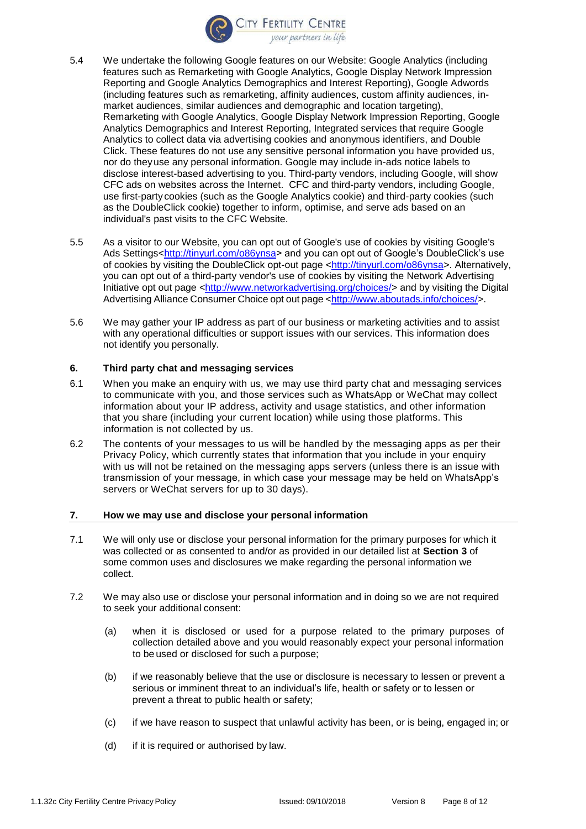

- 5.4 We undertake the following Google features on our Website: Google Analytics (including features such as Remarketing with Google Analytics, Google Display Network Impression Reporting and Google Analytics Demographics and Interest Reporting), Google Adwords (including features such as remarketing, affinity audiences, custom affinity audiences, inmarket audiences, similar audiences and demographic and location targeting), Remarketing with Google Analytics, Google Display Network Impression Reporting, Google Analytics Demographics and Interest Reporting, Integrated services that require Google Analytics to collect data via advertising cookies and anonymous identifiers, and Double Click. These features do not use any sensitive personal information you have provided us, nor do theyuse any personal information. Google may include in-ads notice labels to disclose interest-based advertising to you. Third-party vendors, including Google, will show CFC ads on websites across the Internet. CFC and third-party vendors, including Google, use first-party cookies (such as the Google Analytics cookie) and third-party cookies (such as the DoubleClick cookie) together to inform, optimise, and serve ads based on an individual's past visits to the CFC Website.
- 5.5 As a visitor to our Website, you can opt out of Google's use of cookies by visiting Google's Ads Settings[<http://tinyurl.com/o86ynsa>](http://tinyurl.com/o86ynsa) and you can opt out of Google's DoubleClick's use of cookies by visiting the DoubleClick opt-out page [<http://tinyurl.com/o86ynsa>](http://tinyurl.com/o86ynsa). Alternatively, you can opt out of a third-party vendor's use of cookies by visiting the [Network Advertising](http://www.networkadvertising.org/managing/opt_out.asp) [Initiative opt out page](http://www.networkadvertising.org/managing/opt_out.asp) [<http://www.networkadvertising.org/choices/>](http://www.networkadvertising.org/choices/) and by visiting the Digital Advertising Alliance Consumer Choice opt out page [<http://www.aboutads.info/choices/>](http://www.aboutads.info/choices/).
- 5.6 We may gather your IP address as part of our business or marketing activities and to assist with any operational difficulties or support issues with our services. This information does not identify you personally.

#### **6. Third party chat and messaging services**

- 6.1 When you make an enquiry with us, we may use third party chat and messaging services to communicate with you, and those services such as WhatsApp or WeChat may collect information about your IP address, activity and usage statistics, and other information that you share (including your current location) while using those platforms. This information is not collected by us.
- 6.2 The contents of your messages to us will be handled by the messaging apps as per their Privacy Policy, which currently states that information that you include in your enquiry with us will not be retained on the messaging apps servers (unless there is an issue with transmission of your message, in which case your message may be held on WhatsApp's servers or WeChat servers for up to 30 days).

#### **7. How we may use and disclose your personal information**

- <span id="page-7-0"></span>7.1 We will only use or disclose your personal information for the primary purposes for which it was collected or as consented to and/or as provided in our detailed list at **Section [3](#page-1-0)** of some common uses and disclosures we make regarding the personal information we collect.
- 7.2 We may also use or disclose your personal information and in doing so we are not required to seek your additional consent:
	- (a) when it is disclosed or used for a purpose related to the primary purposes of collection detailed above and you would reasonably expect your personal information to be used or disclosed for such a purpose;
	- (b) if we reasonably believe that the use or disclosure is necessary to lessen or prevent a serious or imminent threat to an individual's life, health or safety or to lessen or prevent a threat to public health or safety;
	- (c) if we have reason to suspect that unlawful activity has been, or is being, engaged in; or
	- (d) if it is required or authorised by law.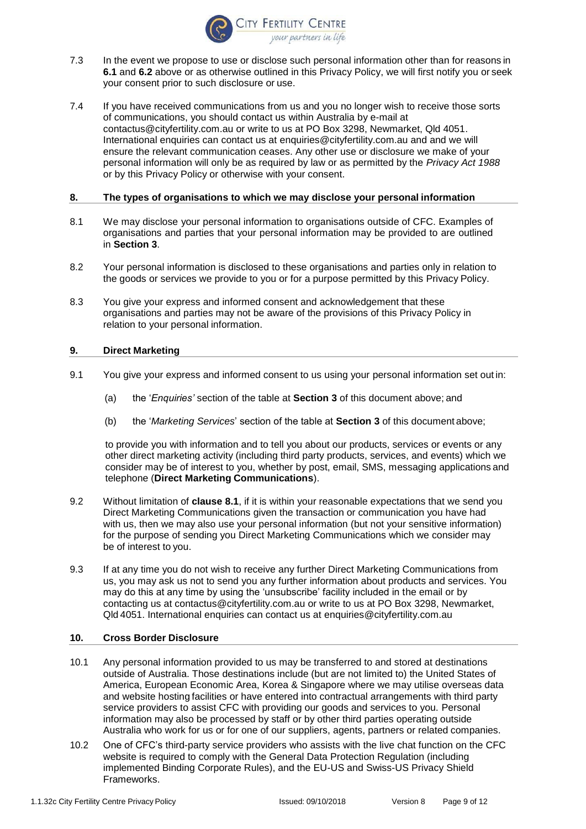

- 7.3 In the event we propose to use or disclose such personal information other than for reasons in **[6.1](#page-7-0)** and **6.2** above or as otherwise outlined in this Privacy Policy, we will first notify you or seek your consent prior to such disclosure or use.
- 7.4 If you have received communications from us and you no longer wish to receive those sorts of communications, you should contact us within Australia by e-mail at [contactus@cityfertility.com.au](mailto:contactus@cityfertility.com.au) or write to us at PO Box 3298, Newmarket, Qld 4051. International enquiries can contact us at [enquiries@cityfertility.com.au](mailto:enquiries@cityfertility.com.au) and and we will ensure the relevant communication ceases. Any other use or disclosure we make of your personal information will only be as required by law or as permitted by the *Privacy Act 1988*  or by this Privacy Policy or otherwise with your consent.

#### **8. The types of organisations to which we may disclose your personal information**

- 8.1 We may disclose your personal information to organisations outside of CFC. Examples of organisations and parties that your personal information may be provided to are outlined in **Section 3**.
- 8.2 Your personal information is disclosed to these organisations and parties only in relation to the goods or services we provide to you or for a purpose permitted by this Privacy Policy.
- 8.3 You give your express and informed consent and acknowledgement that these organisations and parties may not be aware of the provisions of this Privacy Policy in relation to your personal information.

## <span id="page-8-0"></span>**9. Direct Marketing**

- <span id="page-8-1"></span>9.1 You give your express and informed consent to us using your personal information set out in:
	- (a) the '*Enquiries'* section of the table at **Section 3** of this document above; and
	- (b) the '*Marketing Services*' section of the table at **Section 3** of this document above;

to provide you with information and to tell you about our products, services or events or any other direct marketing activity (including third party products, services, and events) which we consider may be of interest to you, whether by post, email, SMS, messaging applications and telephone (**Direct Marketing Communications**).

- 9.2 Without limitation of **clause [8.1](#page-8-1)**, if it is within your reasonable expectations that we send you Direct Marketing Communications given the transaction or communication you have had with us, then we may also use your personal information (but not your sensitive information) for the purpose of sending you Direct Marketing Communications which we consider may be of interest to you.
- 9.3 If at any time you do not wish to receive any further Direct Marketing Communications from us, you may ask us not to send you any further information about products and services. You may do this at any time by using the 'unsubscribe' facility included in the email or by contacting us at [contactus@cityfertility.com.au](mailto:contactus@cityfertility.com.au) or write to us at PO Box 3298, Newmarket, Qld 4051. International enquiries can contact us at [enquiries@cityfertility.com.au](mailto:enquiries@cityfertility.com.au)

#### **10. Cross Border Disclosure**

- 10.1 Any personal information provided to us may be transferred to and stored at destinations outside of Australia. Those destinations include (but are not limited to) the United States of America, European Economic Area, Korea & Singapore where we may utilise overseas data and website hosting facilities or have entered into contractual arrangements with third party service providers to assist CFC with providing our goods and services to you. Personal information may also be processed by staff or by other third parties operating outside Australia who work for us or for one of our suppliers, agents, partners or related companies.
- 10.2 One of CFC's third-party service providers who assists with the live chat function on the CFC website is required to comply with the General Data Protection Regulation (including implemented Binding Corporate Rules), and the EU-US and Swiss-US Privacy Shield Frameworks.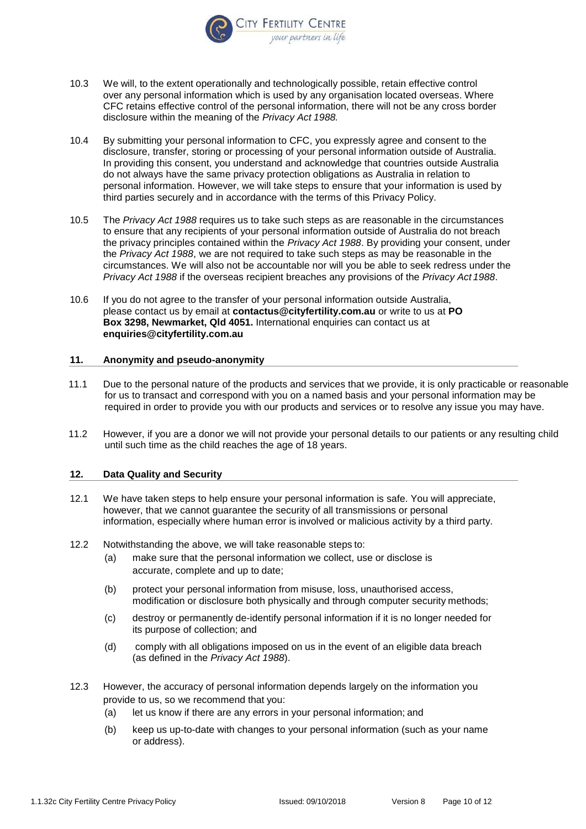

- 10.3 We will, to the extent operationally and technologically possible, retain effective control over any personal information which is used by any organisation located overseas. Where CFC retains effective control of the personal information, there will not be any cross border disclosure within the meaning of the *Privacy Act 1988.*
- 10.4 By submitting your personal information to CFC, you expressly agree and consent to the disclosure, transfer, storing or processing of your personal information outside of Australia. In providing this consent, you understand and acknowledge that countries outside Australia do not always have the same privacy protection obligations as Australia in relation to personal information. However, we will take steps to ensure that your information is used by third parties securely and in accordance with the terms of this Privacy Policy.
- 10.5 The *Privacy Act 1988* requires us to take such steps as are reasonable in the circumstances to ensure that any recipients of your personal information outside of Australia do not breach the privacy principles contained within the *Privacy Act 1988*. By providing your consent, under the *Privacy Act 1988*, we are not required to take such steps as may be reasonable in the circumstances. We will also not be accountable nor will you be able to seek redress under the *Privacy Act 1988* if the overseas recipient breaches any provisions of the *Privacy Act 1988*.
- 10.6 If you do not agree to the transfer of your personal information outside Australia, please contact us by email at **[contactus@cityfertility.com.au](mailto:contactus@cityfertility.com.au)** or write to us at **PO Box 3298, Newmarket, Qld 4051.** International enquiries can contact us at **[enquiries@cityfertility.com.au](mailto:enquiries@cityfertility.com.au)**

#### **11. Anonymity and pseudo-anonymity**

- <span id="page-9-0"></span>11.1 Due to the personal nature of the products and services that we provide, it is only practicable or reasonable for us to transact and correspond with you on a named basis and your personal information may be required in order to provide you with our products and services or to resolve any issue you may have.
- 11.2 However, if you are a donor we will not provide your personal details to our patients or any resulting child until such time as the child reaches the age of 18 years.

## **12. Data Quality and Security**

- 12.1 We have taken steps to help ensure your personal information is safe. You will appreciate, however, that we cannot guarantee the security of all transmissions or personal information, especially where human error is involved or malicious activity by a third party.
- 12.2 Notwithstanding the above, we will take reasonable steps to:
	- (a) make sure that the personal information we collect, use or disclose is accurate, complete and up to date;
	- (b) protect your personal information from misuse, loss, unauthorised access, modification or disclosure both physically and through computer security methods;
	- (c) destroy or permanently de-identify personal information if it is no longer needed for its purpose of collection; and
	- (d) comply with all obligations imposed on us in the event of an eligible data breach (as defined in the *Privacy Act 1988*).
- 12.3 However, the accuracy of personal information depends largely on the information you provide to us, so we recommend that you:
	- (a) let us know if there are any errors in your personal information; and
	- (b) keep us up-to-date with changes to your personal information (such as your name or address).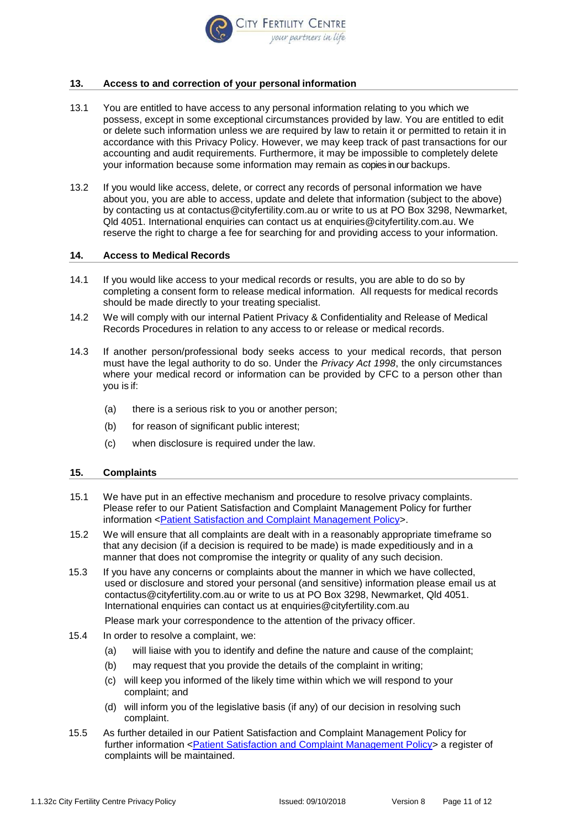

## **13. Access to and correction of your personal information**

- 13.1 You are entitled to have access to any personal information relating to you which we possess, except in some exceptional circumstances provided by law. You are entitled to edit or delete such information unless we are required by law to retain it or permitted to retain it in accordance with this Privacy Policy. However, we may keep track of past transactions for our accounting and audit requirements. Furthermore, it may be impossible to completely delete your information because some information may remain as copies in our backups.
- 13.2 If you would like access, delete, or correct any records of personal information we have about you, you are able to access, update and delete that information (subject to the above) by contacting us at [contactus@cityfertility.com.au](mailto:contactus@cityfertility.com.au) or write to us at PO Box 3298, Newmarket, Qld 4051. International enquiries can contact us at [enquiries@cityfertility.com.au.](mailto:enquiries@cityfertility.com.au) We reserve the right to charge a fee for searching for and providing access to your information.

#### **14. Access to Medical Records**

- 14.1 If you would like access to your medical records or results, you are able to do so by completing a consent form to release medical information. All requests for medical records should be made directly to your treating specialist.
- 14.2 We will comply with our internal Patient Privacy & Confidentiality and Release of Medical Records Procedures in relation to any access to or release or medical records.
- 14.3 If another person/professional body seeks access to your medical records, that person must have the legal authority to do so. Under the *Privacy Act 1998*, the only circumstances where your medical record or information can be provided by CFC to a person other than you is if:
	- (a) there is a serious risk to you or another person;
	- (b) for reason of significant public interest;
	- (c) when disclosure is required under the law.

#### **15. Complaints**

- 15.1 We have put in an effective mechanism and procedure to resolve privacy complaints. Please refer to our Patient Satisfaction and Complaint Management Policy for further information [<Patient Satisfaction and Complaint Management Policy>](file:///C:/Users/dunstone9214/AppData/Local/Microsoft/Windows/Temporary%20Internet%20Files/pdf/1.3.1%20Patient%20Satisfaction%20and%20Complaint%20Management%20Policy.pdf).
- 15.2 We will ensure that all complaints are dealt with in a reasonably appropriate timeframe so that any decision (if a decision is required to be made) is made expeditiously and in a manner that does not compromise the integrity or quality of any such decision.
- 15.3 If you have any concerns or complaints about the manner in which we have collected, used or disclosure and stored your personal (and sensitive) information please email us at contactus@cityfertility.com.au or write to us at PO Box 3298, Newmarket, Qld 4051. International enquiries can contact us at [enquiries@cityfertility.com.au](mailto:enquiries@cityfertility.com.au)

Please mark your correspondence to the attention of the privacy officer.

- 15.4 In order to resolve a complaint, we:
	- (a) will liaise with you to identify and define the nature and cause of the complaint;
	- (b) may request that you provide the details of the complaint in writing;
	- (c) will keep you informed of the likely time within which we will respond to your complaint; and
	- (d) will inform you of the legislative basis (if any) of our decision in resolving such complaint.
- 15.5 As further detailed in our Patient Satisfaction and Complaint Management Policy for further information [<Patient Satisfaction and Complaint Management Policy>](file:///C:/Users/dunstone9214/AppData/Local/Microsoft/Windows/Temporary%20Internet%20Files/pdf/1.3.1%20Patient%20Satisfaction%20and%20Complaint%20Management%20Policy.pdf) a register of complaints will be maintained.